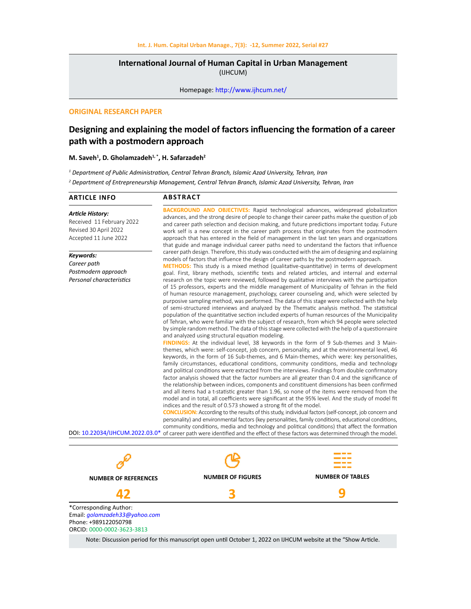# **International Journal of Human Capital in Urban Management**  (IJHCUM)

Homepage: http://www.ijhcum.net/

# **ORIGINAL RESEARCH PAPER**

# **Designing and explaining the model of factors influencing the formation of a career path with a postmodern approach**

# **M. Saveh1 , D. Gholamzadeh1, \*, H. Safarzadeh<sup>2</sup>**

*1 Department of Public Administration, Central Tehran Branch, Islamic Azad University, Tehran, Iran*

*2 Department of Entrepreneurship Management, Central Tehran Branch, Islamic Azad University, Tehran, Iran*

| <b>ARTICLE INFO</b>                                                                                            | <b>ABSTRACT</b>                                                                                                                                                                                                                                                                                                                                                                                                                                                                                                                                                                                                                                                                                                                                                                                                                                                                                                                                                                                                                                                                                                                                                                                                                                                                                                                                                                                                                                                                                                                                                                                                                                                                                                                                                                                                                                                                                                                                                                                                                                                                                                                                                                                                                                                                                                                                                                                                                                                                                                                                                                                                                                          |
|----------------------------------------------------------------------------------------------------------------|----------------------------------------------------------------------------------------------------------------------------------------------------------------------------------------------------------------------------------------------------------------------------------------------------------------------------------------------------------------------------------------------------------------------------------------------------------------------------------------------------------------------------------------------------------------------------------------------------------------------------------------------------------------------------------------------------------------------------------------------------------------------------------------------------------------------------------------------------------------------------------------------------------------------------------------------------------------------------------------------------------------------------------------------------------------------------------------------------------------------------------------------------------------------------------------------------------------------------------------------------------------------------------------------------------------------------------------------------------------------------------------------------------------------------------------------------------------------------------------------------------------------------------------------------------------------------------------------------------------------------------------------------------------------------------------------------------------------------------------------------------------------------------------------------------------------------------------------------------------------------------------------------------------------------------------------------------------------------------------------------------------------------------------------------------------------------------------------------------------------------------------------------------------------------------------------------------------------------------------------------------------------------------------------------------------------------------------------------------------------------------------------------------------------------------------------------------------------------------------------------------------------------------------------------------------------------------------------------------------------------------------------------------|
| <b>Article History:</b><br>Received 11 February 2022<br>Revised 30 April 2022<br>Accepted 11 June 2022         | <b>BACKGROUND AND OBJECTIVES:</b> Rapid technological advances, widespread globalization<br>advances, and the strong desire of people to change their career paths make the question of job<br>and career path selection and decision making, and future predictions important today. Future<br>work self is a new concept in the career path process that originates from the postmodern<br>approach that has entered in the field of management in the last ten years and organizations<br>that guide and manage individual career paths need to understand the factors that influence                                                                                                                                                                                                                                                                                                                                                                                                                                                                                                                                                                                                                                                                                                                                                                                                                                                                                                                                                                                                                                                                                                                                                                                                                                                                                                                                                                                                                                                                                                                                                                                                                                                                                                                                                                                                                                                                                                                                                                                                                                                                 |
| Keywords:<br>Career path<br>Postmodern approach<br>Personal characteristics<br>DOI: 10.22034/IJHCUM.2022.03.0* | career path design. Therefore, this study was conducted with the aim of designing and explaining<br>models of factors that influence the design of career paths by the postmodern approach.<br><b>METHODS:</b> This study is a mixed method (qualitative-quantitative) in terms of development<br>goal. First, library methods, scientific texts and related articles, and internal and external<br>research on the topic were reviewed, followed by qualitative interviews with the participation<br>of 15 professors, experts and the middle management of Municipality of Tehran in the field<br>of human resource management, psychology, career counseling and, which were selected by<br>purposive sampling method, was performed. The data of this stage were collected with the help<br>of semi-structured interviews and analyzed by the Thematic analysis method. The statistical<br>population of the quantitative section included experts of human resources of the Municipality<br>of Tehran, who were familiar with the subject of research, from which 94 people were selected<br>by simple random method. The data of this stage were collected with the help of a questionnaire<br>and analyzed using structural equation modeling.<br>FINDINGS: At the individual level, 38 keywords in the form of 9 Sub-themes and 3 Main-<br>themes, which were: self-concept, job concern, personality, and at the environmental level, 46<br>keywords, in the form of 16 Sub-themes, and 6 Main-themes, which were: key personalities,<br>family circumstances, educational conditions, community conditions, media and technology<br>and political conditions were extracted from the interviews. Findings from double confirmatory<br>factor analysis showed that the factor numbers are all greater than 0.4 and the significance of<br>the relationship between indices, components and constituent dimensions has been confirmed<br>and all items had a t-statistic greater than 1.96, so none of the items were removed from the<br>model and in total, all coefficients were significant at the 95% level. And the study of model fit<br>indices and the result of 0.573 showed a strong fit of the model.<br><b>CONCLUSION:</b> According to the results of this study, individual factors (self-concept, job concern and<br>personality) and environmental factors (key personalities, family conditions, educational conditions,<br>community conditions, media and technology and political conditions) that affect the formation<br>of career path were identified and the effect of these factors was determined through the model. |
|                                                                                                                |                                                                                                                                                                                                                                                                                                                                                                                                                                                                                                                                                                                                                                                                                                                                                                                                                                                                                                                                                                                                                                                                                                                                                                                                                                                                                                                                                                                                                                                                                                                                                                                                                                                                                                                                                                                                                                                                                                                                                                                                                                                                                                                                                                                                                                                                                                                                                                                                                                                                                                                                                                                                                                                          |



Email: *golamzadeh33@yahoo.com* Phone: +989122050798 ORCID: 0000-0002-3623-3813

Note: Discussion period for this manuscript open until October 1, 2022 on IJHCUM website at the "Show Article.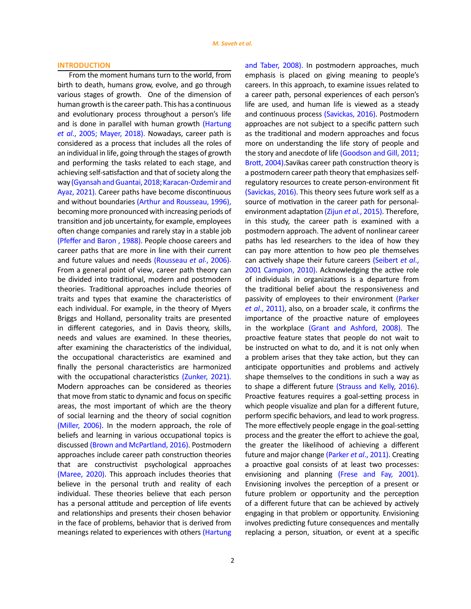# **INTRODUCTION**

From the moment humans turn to the world, from birth to death, humans grow, evolve, and go through various stages of growth. One of the dimension of human growth is the career path. This has a continuous and evolutionary process throughout a person's life and is done in parallel with human growth (Hartung *et al*., 2005; Mayer, 2018). Nowadays, career path is considered as a process that includes all the roles of an individual in life, going through the stages of growth and performing the tasks related to each stage, and achieving self-satisfaction and that of society along the way (Gyansah and Guantai, 2018; Karacan-Ozdemir and Ayaz, 2021). Career paths have become discontinuous and without boundaries (Arthur and Rousseau, 1996), becoming more pronounced with increasing periods of transition and job uncertainty, for example, employees often change companies and rarely stay in a stable job (Pfeffer and Baron , 1988). People choose careers and career paths that are more in line with their current and future values and needs (Rousseau *et al*., 2006). From a general point of view, career path theory can be divided into traditional, modern and postmodern theories. Traditional approaches include theories of traits and types that examine the characteristics of each individual. For example, in the theory of Myers Briggs and Holland, personality traits are presented in different categories, and in Davis theory, skills, needs and values are examined. In these theories, after examining the characteristics of the individual, the occupational characteristics are examined and finally the personal characteristics are harmonized with the occupational characteristics (Zunker, 2021). Modern approaches can be considered as theories that move from static to dynamic and focus on specific areas, the most important of which are the theory of social learning and the theory of social cognition (Miller, 2006). In the modern approach, the role of beliefs and learning in various occupational topics is discussed (Brown and McPartland, 2016). Postmodern approaches include career path construction theories that are constructivist psychological approaches (Maree, 2020). This approach includes theories that believe in the personal truth and reality of each individual. These theories believe that each person has a personal attitude and perception of life events and relationships and presents their chosen behavior in the face of problems, behavior that is derived from meanings related to experiences with others (Hartung

2

and Taber, 2008). In postmodern approaches, much emphasis is placed on giving meaning to people's careers. In this approach, to examine issues related to a career path, personal experiences of each person's life are used, and human life is viewed as a steady and continuous process (Savickas, 2016). Postmodern approaches are not subject to a specific pattern such as the traditional and modern approaches and focus more on understanding the life story of people and the story and anecdote of life (Goodson and Gill, 2011; Brott, 2004).Savikas career path construction theory is a postmodern career path theory that emphasizes selfregulatory resources to create person-environment fit [\(Savickas, 2016\).](https://www.sciencedirect.com/science/article/abs/pii/S0001879116300598) This theory sees future work self as a source of motivation in the career path for personalenvironment adaptation (Zijun *et al.*[, 2015\).](https://www.sciencedirect.com/science/article/abs/pii/S0001879114001237) Therefore, in this study, the career path is examined with a postmodern approach. The advent of nonlinear career paths has led researchers to the idea of how they can pay more attention to how peo ple themselves can actively shape their future careers (Seibert *et al*., 2001 Campion, 2010). Acknowledging the active role of individuals in organizations is a departure from the traditional belief about the responsiveness and passivity of employees to their environment (Parker *et al*., 2011), also, on a broader scale, it confirms the importance of the proactive nature of employees in the workplace (Grant and Ashford, 2008). The proactive feature states that people do not wait to be instructed on what to do, and it is not only when a problem arises that they take action, but they can anticipate opportunities and problems and actively shape themselves to the conditions in such a way as to shape a different future (Strauss and Kelly, 2016). Proactive features requires a goal-setting process in which people visualize and plan for a different future. perform specific behaviors, and lead to work progress. The more effectively people engage in the goal-setting process and the greater the effort to achieve the goal, the greater the likelihood of achieving a different future and major change (Parker *et al*., 2011). Creating a proactive goal consists of at least two processes: envisioning and planning (Frese and Fay, 2001). Envisioning involves the perception of a present or future problem or opportunity and the perception of a different future that can be achieved by actively engaging in that problem or opportunity. Envisioning involves predicting future consequences and mentally replacing a person, situation, or event at a specific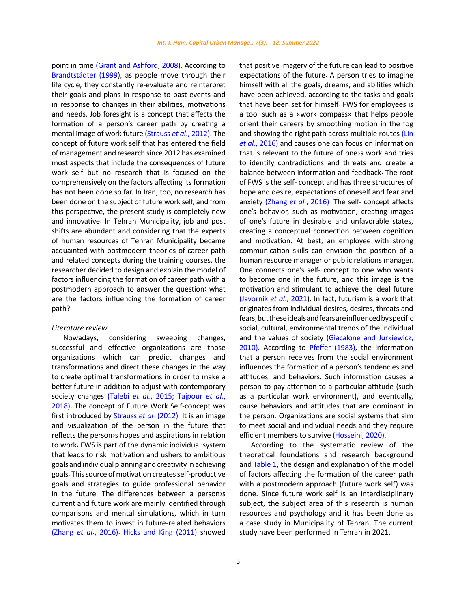point in time (Grant and Ashford, 2008). According to Brandtstädter (1999), as people move through their life cycle, they constantly re-evaluate and reinterpret their goals and plans in response to past events and in response to changes in their abilities, motivations and needs. Job foresight is a concept that affects the formation of a person's career path by creating a mental image of work future (Strauss *et al*., 2012). The concept of future work self that has entered the field of management and research since 2012 has examined most aspects that include the consequences of future work self but no research that is focused on the comprehensively on the factors affecting its formation has not been done so far. In Iran, too, no research has been done on the subject of future work self, and from this perspective, the present study is completely new and innovative. In Tehran Municipality, job and post shifts are abundant and considering that the experts of human resources of Tehran Municipality became acquainted with postmodern theories of career path and related concepts during the training courses, the researcher decided to design and explain the model of factors influencing the formation of career path with a postmodern approach to answer the question: what are the factors influencing the formation of career path?

### *Literature review*

Nowadays, considering sweeping changes, successful and effective organizations are those organizations which can predict changes and transformations and direct these changes in the way to create optimal transformations in order to make a better future in addition to adjust with contemporary society changes (Talebi *et al.*[, 2015;](https://www.researchgate.net/publication/270902120_SME_alliance_performance_The_impacts_of_alliance_entrepreneurship_entrepreneurial_orientation_and_intellectual_capital) [Tajpour](http://www.ijhcum.net/article_30800_dbefd2e4841645894bb8ec935ca46d0b.pdf) *et al.*, [2018\).](http://www.ijhcum.net/article_30800_dbefd2e4841645894bb8ec935ca46d0b.pdf) The concept of Future Work Self-concept was first introduced by Strauss *et al*. (2012). It is an image and visualization of the person in the future that reflects the person›s hopes and aspirations in relation to work. FWS is part of the dynamic individual system that leads to risk motivation and ushers to ambitious goals and individual planning and creativity in achieving goals. This source of motivation creates self-productive goals and strategies to guide professional behavior in the future. The differences between a person›s current and future work are mainly identified through comparisons and mental simulations, which in turn motivates them to invest in future-related behaviors (Zhang *et al*., 2016). Hicks and King (2011) showed

3

that positive imagery of the future can lead to positive expectations of the future. A person tries to imagine himself with all the goals, dreams, and abilities which have been achieved, according to the tasks and goals that have been set for himself. FWS for employees is a tool such as a «work compass» that helps people orient their careers by smoothing motion in the fog and showing the right path across multiple routes (Lin *et al.*, 2016) and causes one can focus on information that is relevant to the future of one›s work and tries to identify contradictions and threats and create a balance between information and feedback. The root of FWS is the self- concept and has three structures of hope and desire, expectations of oneself and fear and anxiety (Zhang *et al*., 2016). The self- concept affects one's behavior, such as motivation, creating images of one's future in desirable and unfavorable states, creating a conceptual connection between cognition and motivation. At best, an employee with strong communication skills can envision the position of a human resource manager or public relations manager. One connects one's self- concept to one who wants to become one in the future, and this image is the motivation and stimulant to achieve the ideal future (Javornik *et al*., 2021). In fact, futurism is a work that originates from individual desires, desires, threats and fears, but these ideals and fears are influenced by specific social, cultural, environmental trends of the individual and the values of society (Giacalone and Jurkiewicz, 2010). According to Pfeffer (1983), the information that a person receives from the social environment influences the formation of a person's tendencies and attitudes, and behaviors. Such information causes a person to pay attention to a particular attitude (such as a particular work environment), and eventually, cause behaviors and attitudes that are dominant in the person. Organizations are social systems that aim to meet social and individual needs and they require efficient members to survive [\(Hosseini, 2020\)](http://www.ijhcum.net/article_44275.html).

According to the systematic review of the theoretical foundations and research background and Table 1, the design and explanation of the model of factors affecting the formation of the career path with a postmodern approach (future work self) was done. Since future work self is an interdisciplinary subject, the subject area of this research is human resources and psychology and it has been done as a case study in Municipality of Tehran. The current study have been performed in Tehran in 2021.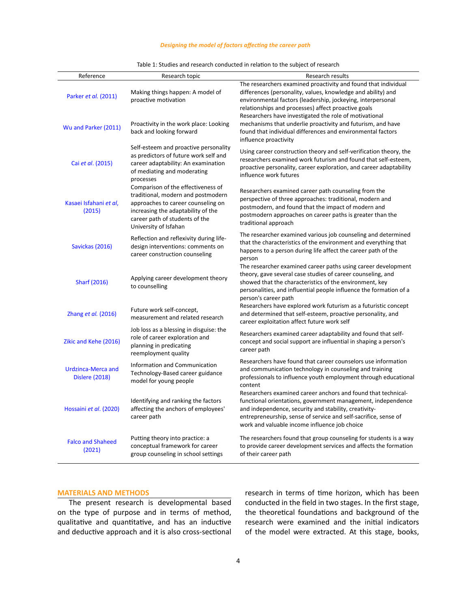# *Designing the model of factors affecting the career path*

| Reference                                          | Research topic                                                                                                                                                                                                  | Research results                                                                                                                                                                                                                                                                                               |
|----------------------------------------------------|-----------------------------------------------------------------------------------------------------------------------------------------------------------------------------------------------------------------|----------------------------------------------------------------------------------------------------------------------------------------------------------------------------------------------------------------------------------------------------------------------------------------------------------------|
| Parker et al. (2011)                               | Making things happen: A model of<br>proactive motivation                                                                                                                                                        | The researchers examined proactivity and found that individual<br>differences (personality, values, knowledge and ability) and<br>environmental factors (leadership, jockeying, interpersonal<br>relationships and processes) affect proactive goals<br>Researchers have investigated the role of motivational |
| Wu and Parker (2011)                               | Proactivity in the work place: Looking<br>back and looking forward                                                                                                                                              | mechanisms that underlie proactivity and futurism, and have<br>found that individual differences and environmental factors<br>influence proactivity                                                                                                                                                            |
| Cai et al. (2015)                                  | Self-esteem and proactive personality<br>as predictors of future work self and<br>career adaptability: An examination<br>of mediating and moderating<br>processes                                               | Using career construction theory and self-verification theory, the<br>researchers examined work futurism and found that self-esteem,<br>proactive personality, career exploration, and career adaptability<br>influence work futures                                                                           |
| Kasaei Isfahani et al,<br>(2015)                   | Comparison of the effectiveness of<br>traditional, modern and postmodern<br>approaches to career counseling on<br>increasing the adaptability of the<br>career path of students of the<br>University of Isfahan | Researchers examined career path counseling from the<br>perspective of three approaches: traditional, modern and<br>postmodern, and found that the impact of modern and<br>postmodern approaches on career paths is greater than the<br>traditional approach                                                   |
| Savickas (2016)                                    | Reflection and reflexivity during life-<br>design interventions: comments on<br>career construction counseling                                                                                                  | The researcher examined various job counseling and determined<br>that the characteristics of the environment and everything that<br>happens to a person during life affect the career path of the<br>person                                                                                                    |
| <b>Sharf (2016)</b>                                | Applying career development theory<br>to counselling                                                                                                                                                            | The researcher examined career paths using career development<br>theory, gave several case studies of career counseling, and<br>showed that the characteristics of the environment, key<br>personalities, and influential people influence the formation of a<br>person's career path                          |
| Zhang et al. (2016)                                | Future work self-concept,<br>measurement and related research                                                                                                                                                   | Researchers have explored work futurism as a futuristic concept<br>and determined that self-esteem, proactive personality, and<br>career exploitation affect future work self                                                                                                                                  |
| Zikic and Kehe (2016)                              | Job loss as a blessing in disguise: the<br>role of career exploration and<br>planning in predicating<br>reemployment quality                                                                                    | Researchers examined career adaptability and found that self-<br>concept and social support are influential in shaping a person's<br>career path                                                                                                                                                               |
| <b>Urdzinca-Merca and</b><br><b>Dislere (2018)</b> | Information and Communication<br>Technology-Based career guidance<br>model for young people                                                                                                                     | Researchers have found that career counselors use information<br>and communication technology in counseling and training<br>professionals to influence youth employment through educational<br>content                                                                                                         |
| Hossaini et al. (2020)                             | Identifying and ranking the factors<br>affecting the anchors of employees'<br>career path                                                                                                                       | Researchers examined career anchors and found that technical-<br>functional orientations, government management, independence<br>and independence, security and stability, creativity-<br>entrepreneurship, sense of service and self-sacrifice, sense of<br>work and valuable income influence job choice     |
| <b>Falco and Shaheed</b><br>(2021)                 | Putting theory into practice: a<br>conceptual framework for career<br>group counseling in school settings                                                                                                       | The researchers found that group counseling for students is a way<br>to provide career development services and affects the formation<br>of their career path                                                                                                                                                  |

| Table 1: Studies and research conducted in relation to the subject of research |  |
|--------------------------------------------------------------------------------|--|

# **MATERIALS AND METHODS**

The present research is developmental based on the type of purpose and in terms of method, qualitative and quantitative, and has an inductive and deductive approach and it is also cross-sectional research in terms of time horizon, which has been conducted in the field in two stages. In the first stage, the theoretical foundations and background of the research were examined and the initial indicators of the model were extracted. At this stage, books,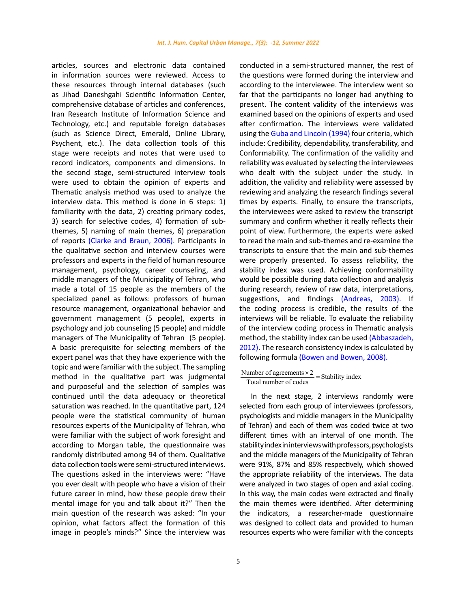articles, sources and electronic data contained in information sources were reviewed. Access to these resources through internal databases (such as Jihad Daneshgahi Scientific Information Center, comprehensive database of articles and conferences, Iran Research Institute of Information Science and Technology, etc.) and reputable foreign databases (such as Science Direct, Emerald, Online Library, Psychent, etc.). The data collection tools of this stage were receipts and notes that were used to record indicators, components and dimensions. In the second stage, semi-structured interview tools were used to obtain the opinion of experts and Thematic analysis method was used to analyze the interview data. This method is done in 6 steps: 1) familiarity with the data, 2) creating primary codes, 3) search for selective codes, 4) formation of subthemes, 5) naming of main themes, 6) preparation of reports [\(Clarke and Braun, 2006\).](https://www.tandfonline.com/doi/abs/10.1191/1478088706QP063OA) Participants in the qualitative section and interview courses were professors and experts in the field of human resource management, psychology, career counseling, and middle managers of the Municipality of Tehran, who made a total of 15 people as the members of the specialized panel as follows: professors of human resource management, organizational behavior and government management (5 people), experts in psychology and job counseling (5 people) and middle managers of The Municipality of Tehran (5 people). A basic prerequisite for selecting members of the expert panel was that they have experience with the topic and were familiar with the subject. The sampling method in the qualitative part was judgmental and purposeful and the selection of samples was continued until the data adequacy or theoretical saturation was reached. In the quantitative part, 124 people were the statistical community of human resources experts of the Municipality of Tehran, who were familiar with the subject of work foresight and according to Morgan table, the questionnaire was randomly distributed among 94 of them. Qualitative data collection tools were semi-structured interviews. The questions asked in the interviews were: "Have you ever dealt with people who have a vision of their future career in mind, how these people drew their mental image for you and talk about it?" Then the main question of the research was asked: "In your opinion, what factors affect the formation of this image in people's minds?" Since the interview was conducted in a semi-structured manner, the rest of the questions were formed during the interview and according to the interviewee. The interview went so far that the participants no longer had anything to present. The content validity of the interviews was examined based on the opinions of experts and used after confirmation. The interviews were validated using the Guba and Lincoln (1994) four criteria, which include: Credibility, dependability, transferability, and Conformability. The confirmation of the validity and reliability was evaluated by selecting the interviewees who dealt with the subject under the study. In addition, the validity and reliability were assessed by reviewing and analyzing the research findings several times by experts. Finally, to ensure the transcripts, the interviewees were asked to review the transcript summary and confirm whether it really reflects their point of view. Furthermore, the experts were asked to read the main and sub-themes and re-examine the transcripts to ensure that the main and sub-themes were properly presented. To assess reliability, the stability index was used. Achieving conformability would be possible during data collection and analysis during research, review of raw data, interpretations, suggestions, and findings (Andreas, 2003). If the coding process is credible, the results of the interviews will be reliable. To evaluate the reliability of the interview coding process in Thematic analysis method, the stability index can be used (Abbaszadeh, 2012). The research consistency index is calculated by following formula (Bowen and Bowen, 2008).

# Number of agreements  $\times 2$ <br>Total number of codes = Stability index

In the next stage, 2 interviews randomly were selected from each group of interviewees (professors, psychologists and middle managers in the Municipality of Tehran) and each of them was coded twice at two different times with an interval of one month. The stability index in interviews with professors, psychologists and the middle managers of the Municipality of Tehran were 91%, 87% and 85% respectively, which showed the appropriate reliability of the interviews. The data were analyzed in two stages of open and axial coding. In this way, the main codes were extracted and finally the main themes were identified. After determining the indicators, a researcher-made questionnaire was designed to collect data and provided to human resources experts who were familiar with the concepts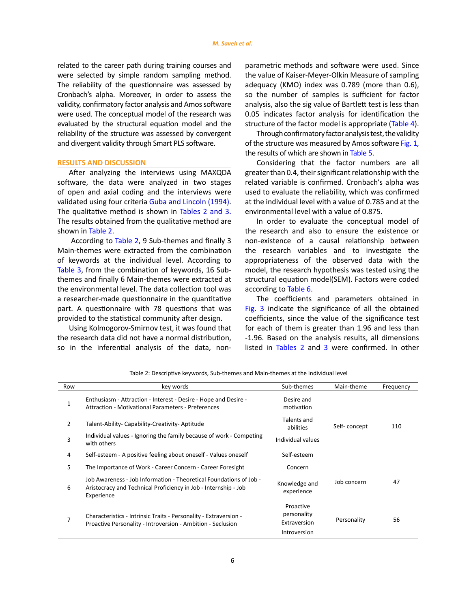#### *M. Saveh et al.*

related to the career path during training courses and were selected by simple random sampling method. The reliability of the questionnaire was assessed by Cronbach's alpha. Moreover, in order to assess the validity, confirmatory factor analysis and Amos software were used. The conceptual model of the research was evaluated by the structural equation model and the reliability of the structure was assessed by convergent and divergent validity through Smart PLS software.

### **RESULTS AND DISCUSSION**

After analyzing the interviews using MAXQDA software, the data were analyzed in two stages of open and axial coding and the interviews were validated using four criteria Guba and Lincoln (1994). The qualitative method is shown in Tables 2 and 3. The results obtained from the qualitative method are shown in Table 2.

 According to Table 2, 9 Sub-themes and finally 3 Main-themes were extracted from the combination of keywords at the individual level. According to Table 3, from the combination of keywords, 16 Subthemes and finally 6 Main-themes were extracted at the environmental level. The data collection tool was a researcher-made questionnaire in the quantitative part. A questionnaire with 78 questions that was provided to the statistical community after design.

Using Kolmogorov-Smirnov test, it was found that the research data did not have a normal distribution, so in the inferential analysis of the data, nonparametric methods and software were used. Since the value of Kaiser-Meyer-Olkin Measure of sampling adequacy (KMO) index was 0.789 (more than 0.6), so the number of samples is sufficient for factor analysis, also the sig value of Bartlett test is less than 0.05 indicates factor analysis for identification the structure of the factor model is appropriate (Table 4).

Through confirmatory factor analysis test, the validity of the structure was measured by Amos software Fig. 1, the results of which are shown in Table 5.

Considering that the factor numbers are all greater than 0.4, their significant relationship with the related variable is confirmed. Cronbach's alpha was used to evaluate the reliability, which was confirmed at the individual level with a value of 0.785 and at the environmental level with a value of 0.875.

In order to evaluate the conceptual model of the research and also to ensure the existence or non-existence of a causal relationship between the research variables and to investigate the appropriateness of the observed data with the model, the research hypothesis was tested using the structural equation model(SEM). Factors were coded according to Table 6.

The coefficients and parameters obtained in Fig. 3 indicate the significance of all the obtained coefficients, since the value of the significance test for each of them is greater than 1.96 and less than -1.96. Based on the analysis results, all dimensions listed in Tables 2 and 3 were confirmed. In other

| Row            | key words                                                                                                                                           | Sub-themes                                               | Main-theme   | Frequency |
|----------------|-----------------------------------------------------------------------------------------------------------------------------------------------------|----------------------------------------------------------|--------------|-----------|
| 1              | Enthusiasm - Attraction - Interest - Desire - Hope and Desire -<br>Attraction - Motivational Parameters - Preferences                               | Desire and<br>motivation                                 |              |           |
| $\overline{2}$ | Talent-Ability- Capability-Creativity- Aptitude                                                                                                     | Talents and<br>abilities                                 | Self-concept | 110       |
| 3              | Individual values - Ignoring the family because of work - Competing<br>with others                                                                  | Individual values                                        |              |           |
| 4              | Self-esteem - A positive feeling about oneself - Values oneself                                                                                     | Self-esteem                                              |              |           |
| 5              | The Importance of Work - Career Concern - Career Foresight                                                                                          | Concern                                                  |              |           |
| 6              | Job Awareness - Job Information - Theoretical Foundations of Job -<br>Aristocracy and Technical Proficiency in Job - Internship - Job<br>Experience | Knowledge and<br>experience                              | Job concern  | 47        |
|                | Characteristics - Intrinsic Traits - Personality - Extraversion -<br>Proactive Personality - Introversion - Ambition - Seclusion                    | Proactive<br>personality<br>Extraversion<br>Introversion | Personality  | 56        |

Table 2: Descriptive keywords, Sub-themes and Main-themes at the individual level Table 2: Descriptive keywords, Sub-themes and Main-themes at the individual level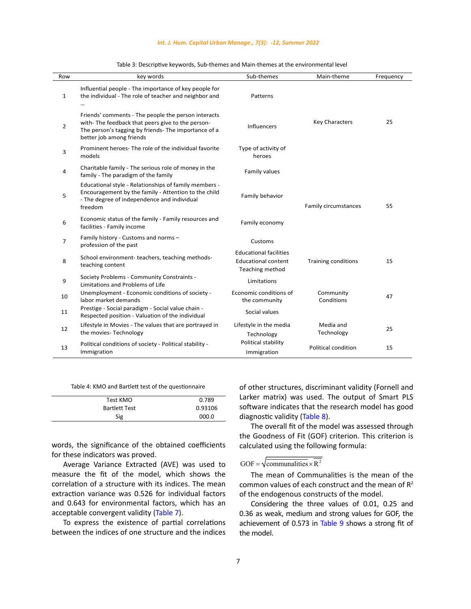| Row            | key words                                                                                                                                                                                   | Sub-themes                                                                     | Main-theme                 | Frequency |
|----------------|---------------------------------------------------------------------------------------------------------------------------------------------------------------------------------------------|--------------------------------------------------------------------------------|----------------------------|-----------|
| $\mathbf{1}$   | Influential people - The importance of key people for<br>the individual - The role of teacher and neighbor and                                                                              | Patterns                                                                       |                            |           |
| $\overline{2}$ | Friends' comments - The people the person interacts<br>with-The feedback that peers give to the person-<br>The person's tagging by friends- The importance of a<br>better job among friends | <b>Influencers</b>                                                             | <b>Key Characters</b>      | 25        |
| 3              | Prominent heroes- The role of the individual favorite<br>models                                                                                                                             | Type of activity of<br>heroes                                                  |                            |           |
| 4              | Charitable family - The serious role of money in the<br>family - The paradigm of the family                                                                                                 | Family values                                                                  |                            |           |
| 5              | Educational style - Relationships of family members -<br>Encouragement by the family - Attention to the child<br>- The degree of independence and individual<br>freedom                     | Family behavior                                                                | Family circumstances       | 55        |
| 6              | Economic status of the family - Family resources and<br>facilities - Family income                                                                                                          | Family economy                                                                 |                            |           |
| $\overline{7}$ | Family history - Customs and norms -<br>profession of the past                                                                                                                              | Customs                                                                        |                            |           |
| 8              | School environment-teachers, teaching methods-<br>teaching content                                                                                                                          | <b>Educational facilities</b><br><b>Educational content</b><br>Teaching method | <b>Training conditions</b> | 15        |
| 9              | Society Problems - Community Constraints -<br>Limitations and Problems of Life                                                                                                              | Limitations                                                                    |                            |           |
| 10             | Unemployment - Economic conditions of society -<br>labor market demands                                                                                                                     | Economic conditions of<br>the community                                        | Community<br>Conditions    | 47        |
| 11             | Prestige - Social paradigm - Social value chain -<br>Respected position - Valuation of the individual                                                                                       | Social values                                                                  |                            |           |
| 12             | Lifestyle in Movies - The values that are portrayed in<br>the movies-Technology                                                                                                             | Lifestyle in the media<br>Technology                                           | Media and<br>Technology    | 25        |
| 13             | Political conditions of society - Political stability -<br>Immigration                                                                                                                      | Political stability<br>Immigration                                             | Political condition        | 15        |

Table 3: Descriptive keywords, Sub-themes and Main-themes at the environmental level Table 3: Descriptive keywords, Sub-themes and Main-themes at the environmental level

Table 4: KMO and Bartlett test of the questionnaire Table 4: KMO and Bartlett test of the questionnaire

| Test KMO             | 0.789   |
|----------------------|---------|
| <b>Bartlett Test</b> | 0.93106 |
| Sig                  | 000.0   |

words, the significance of the obtained coefficients for these indicators was proved.

Average Variance Extracted (AVE) was used to measure the fit of the model, which shows the correlation of a structure with its indices. The mean extraction variance was 0.526 for individual factors and 0.643 for environmental factors, which has an acceptable convergent validity (Table 7).

To express the existence of partial correlations between the indices of one structure and the indices of other structures, discriminant validity (Fornell and Larker matrix) was used. The output of Smart PLS software indicates that the research model has good diagnostic validity (Table 8).

The overall fit of the model was assessed through the Goodness of Fit (GOF) criterion. This criterion is calculated using the following formula:

# GOF =  $\sqrt{\frac{1}{2}}$

The mean of Communalities is the mean of the common values of each construct and the mean of  $R^2$ of the endogenous constructs of the model.

Considering the three values of 0.01, 0.25 and 0.36 as weak, medium and strong values for GOF, the achievement of 0.573 in Table 9 shows a strong fit of the model.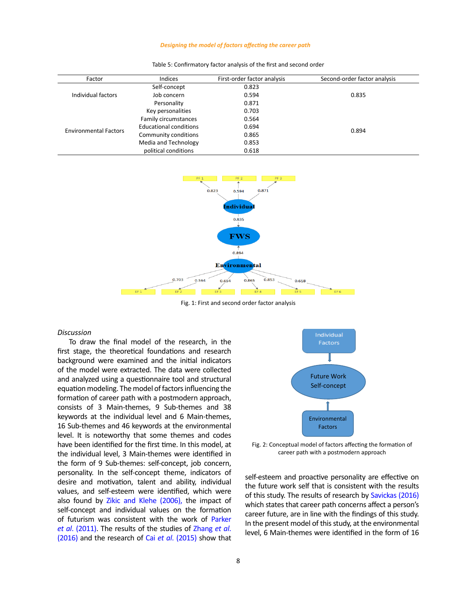### *Designing the model of factors affecting the career path*

| Factor                       | Indices                       | First-order factor analysis | Second-order factor analysis |
|------------------------------|-------------------------------|-----------------------------|------------------------------|
|                              | Self-concept                  | 0.823                       |                              |
| Individual factors           | Job concern                   | 0.594                       | 0.835                        |
|                              | Personality                   | 0.871                       |                              |
| <b>Environmental Factors</b> | Key personalities             | 0.703                       |                              |
|                              | Family circumstances          | 0.564                       |                              |
|                              | <b>Educational conditions</b> | 0.694                       | 0.894                        |
|                              | Community conditions          | 0.865                       |                              |
|                              | Media and Technology          | 0.853                       |                              |
|                              | political conditions          | 0.618                       |                              |

Table 5: Confirmatory factor analysis of the first and second order Table 5: Confirmatory factor analysis of the first and second order



Fig. 1: First and second order factor analysis

### *Discussion*

To draw the final model of the research, in the first stage, the theoretical foundations and research background were examined and the initial indicators of the model were extracted. The data were collected and analyzed using a questionnaire tool and structural equation modeling. The model of factors influencing the formation of career path with a postmodern approach, consists of 3 Main-themes, 9 Sub-themes and 38 keywords at the individual level and 6 Main-themes, 16 Sub-themes and 46 keywords at the environmental level. It is noteworthy that some themes and codes have been identified for the first time. In this model, at the individual level, 3 Main-themes were identified in the form of 9 Sub-themes: self-concept, job concern, personality. In the self-concept theme, indicators of desire and motivation, talent and ability, individual values, and self-esteem were identified, which were also found by Zikic and Klehe (2006), the impact of self-concept and individual values on the formation of futurism was consistent with the work of Parker *et al*. (2011). The results of the studies of Zhang *et al*. (2016) and the research of Cai *et al*. (2015) show that



S MOdel, at Tig. 2: Conceptual model of factors affecting the formation of career path with a postmodern approach

self-esteem and proactive personality are effective on the future work self that is consistent with the results of this study. The results of research by Savickas (2016) which states that career path concerns affect a person's career future, are in line with the findings of this study. In the present model of this study, at the environmental level, 6 Main-themes were identified in the form of 16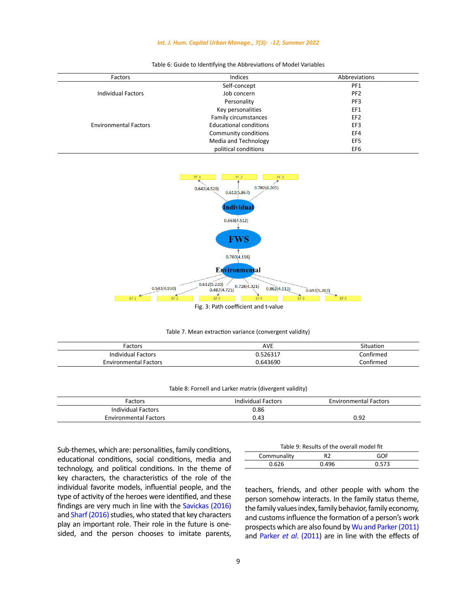# *Int. J. Hum. Capital Urban Manage., 7(3): -12, Summer 2022*

| Factors                      | Indices                       | Abbreviations   |
|------------------------------|-------------------------------|-----------------|
|                              | Self-concept                  | PF1             |
| <b>Individual Factors</b>    | Job concern                   | PF <sub>2</sub> |
|                              | Personality                   | PF3             |
|                              | Key personalities             | EF1             |
|                              | Family circumstances          | EF <sub>2</sub> |
| <b>Environmental Factors</b> | <b>Educational conditions</b> | EF3             |
|                              | Community conditions          | EF4             |
|                              | Media and Technology          | EF5             |
|                              | political conditions          | EF6             |

# Table 6: Guide to Identifying the Abbreviations of Model Variables Table 6: Guide to Identifying the Abbreviations of Model Variables



Table 7. Mean extraction variance (convergent validity) Table 7. Mean extraction variance (convergent validity)

| Factors                      | <b>AVE</b> | Situation |
|------------------------------|------------|-----------|
| Individual Factors           | 526317.ا   | Confirmed |
| <b>Environmental Factors</b> | 0.643690   | Confirmed |

# Table 8: Fornell and Larker matrix (divergent validity) Table 8: Fornell and Larker matrix (divergent validity)

| Factors                      | Individual Factors | <b>Environmental Factors</b> |
|------------------------------|--------------------|------------------------------|
| <b>Individual Factors</b>    | 0.86               |                              |
| <b>Environmental Factors</b> | 0.43               | 0.92                         |

Sub-themes, which are: personalities, family conditions, educational conditions, social conditions, media and technology, and political conditions. In the theme of key characters, the characteristics of the role of the individual favorite models, influential people, and the type of activity of the heroes were identified, and these findings are very much in line with the Savickas (2016) and Sharf (2016) studies, who stated that key characters play an important role. Their role in the future is onesided, and the person chooses to imitate parents,

|             | Table 9: Results of the overall model fit |       |
|-------------|-------------------------------------------|-------|
| Communality | R2                                        | GOF   |
| 0.626       | 0.496                                     | 0.573 |

teachers, friends, and other people with whom the person somehow interacts. In the family status theme, the family values index, family behavior, family economy, and customs influence the formation of a person's work prospects which are also found by Wu and Parker (2011) and Parker *et al*. (2011) are in line with the effects of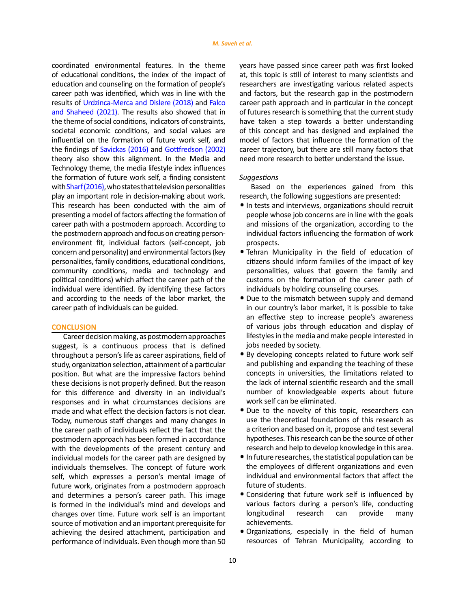coordinated environmental features. In the theme of educational conditions, the index of the impact of education and counseling on the formation of people's career path was identified, which was in line with the results of Urdzinca-Merca and Dislere (2018) and Falco and Shaheed (2021). The results also showed that in the theme of social conditions, indicators of constraints, societal economic conditions, and social values are influential on the formation of future work self, and the findings of Savickas (2016) and Gottfredson (2002) theory also show this alignment. In the Media and Technology theme, the media lifestyle index influences the formation of future work self, a finding consistent with Sharf (2016), who states that television personalities play an important role in decision-making about work. This research has been conducted with the aim of presenting a model of factors affecting the formation of career path with a postmodern approach. According to the postmodern approach and focus on creating personenvironment fit, individual factors (self-concept, job concern and personality) and environmental factors (key personalities, family conditions, educational conditions, community conditions, media and technology and political conditions) which affect the career path of the individual were identified. By identifying these factors and according to the needs of the labor market, the career path of individuals can be guided.

### **CONCLUSION**

Career decision making, as postmodern approaches suggest, is a continuous process that is defined throughout a person's life as career aspirations, field of study, organization selection, attainment of a particular position. But what are the impressive factors behind these decisions is not properly defined. But the reason for this difference and diversity in an individual's responses and in what circumstances decisions are made and what effect the decision factors is not clear. Today, numerous staff changes and many changes in the career path of individuals reflect the fact that the postmodern approach has been formed in accordance with the developments of the present century and individual models for the career path are designed by individuals themselves. The concept of future work self, which expresses a person's mental image of future work, originates from a postmodern approach and determines a person's career path. This image is formed in the individual's mind and develops and changes over time. Future work self is an important source of motivation and an important prerequisite for achieving the desired attachment, participation and performance of individuals. Even though more than 50 years have passed since career path was first looked at, this topic is still of interest to many scientists and researchers are investigating various related aspects and factors, but the research gap in the postmodern career path approach and in particular in the concept of futures research is something that the current study have taken a step towards a better understanding of this concept and has designed and explained the model of factors that influence the formation of the career trajectory, but there are still many factors that need more research to better understand the issue.

### *Suggestions*

Based on the experiences gained from this research, the following suggestions are presented:

- **.**In tests and interviews, organizations should recruit people whose job concerns are in line with the goals and missions of the organization, according to the individual factors influencing the formation of work prospects.
- **.** Tehran Municipality in the field of education of citizens should inform families of the impact of key personalities, values that govern the family and customs on the formation of the career path of individuals by holding counseling courses.
- **.** Due to the mismatch between supply and demand in our country's labor market, it is possible to take an effective step to increase people's awareness of various jobs through education and display of lifestyles in the media and make people interested in jobs needed by society.
- **.** By developing concepts related to future work self and publishing and expanding the teaching of these concepts in universities, the limitations related to the lack of internal scientific research and the small number of knowledgeable experts about future work self can be eliminated.
- **.** Due to the novelty of this topic, researchers can use the theoretical foundations of this research as a criterion and based on it, propose and test several hypotheses. This research can be the source of other research and help to develop knowledge in this area.
- **.**In future researches, the statistical population can be the employees of different organizations and even individual and environmental factors that affect the future of students.
- **.** Considering that future work self is influenced by various factors during a person's life, conducting longitudinal research can provide many achievements.
- **.** Organizations, especially in the field of human resources of Tehran Municipality, according to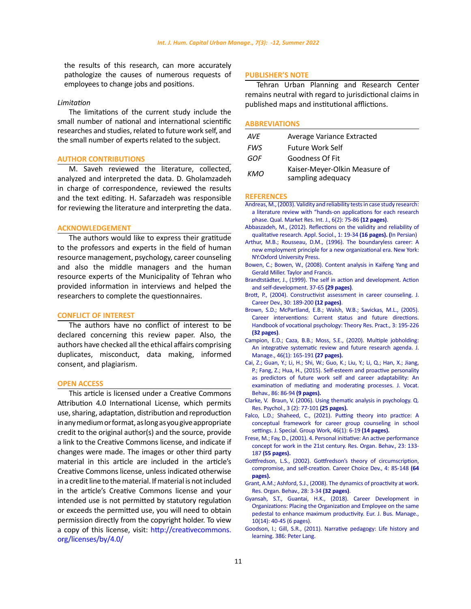the results of this research, can more accurately pathologize the causes of numerous requests of employees to change jobs and positions.

# *Limitation*

The limitations of the current study include the small number of national and international scientific researches and studies, related to future work self, and the small number of experts related to the subject.

# **AUTHOR CONTRIBUTIONS**

M. Saveh reviewed the literature, collected, analyzed and interpreted the data. D. Gholamzadeh in charge of correspondence, reviewed the results and the text editing. H. Safarzadeh was responsible for reviewing the literature and interpreting the data.

### **ACKNOWLEDGEMENT**

The authors would like to express their gratitude to the professors and experts in the field of human resource management, psychology, career counseling and also the middle managers and the human resource experts of the Municipality of Tehran who provided information in interviews and helped the researchers to complete the questionnaires.

#### **CONFLICT OF INTEREST**

The authors have no conflict of interest to be declared concerning this review paper. Also, the authors have checked all the ethical affairs comprising duplicates, misconduct, data making, informed consent, and plagiarism.

### **OPEN ACCESS**

This article is licensed under a Creative Commons Attribution 4.0 International License, which permits use, sharing, adaptation, distribution and reproduction in any medium or format, as long as you give appropriate credit to the original author(s) and the source, provide a link to the Creative Commons license, and indicate if changes were made. The images or other third party material in this article are included in the article's Creative Commons license, unless indicated otherwise in a credit line to the material. If material is not included in the article's Creative Commons license and your intended use is not permitted by statutory regulation or exceeds the permitted use, you will need to obtain permission directly from the copyright holder. To view a copy of this license, visit: http://creativecommons. org/licenses/by/4.0/

# **PUBLISHER'S NOTE**

Tehran Urban Planning and Research Center remains neutral with regard to jurisdictional claims in published maps and institutional afflictions.

### **ABBREVIATIONS**

| AVE        | Average Variance Extracted                         |
|------------|----------------------------------------------------|
| <b>FWS</b> | <b>Future Work Self</b>                            |
| GOF        | Goodness Of Fit                                    |
| KMO        | Kaiser-Meyer-Olkin Measure of<br>sampling adequacy |

### **REFERENCES**

- [Andreas, M., \(2003\). Validity and reliability tests in case study research:](https://www.emerald.com/insight/content/doi/10.1108/13522750310470055/full/html?src=recsys&fullSc=1&fullSc=1&fullSc=1&mbSc=1&fullSc=1) [a literature review with "hands-on applications for each research](https://www.emerald.com/insight/content/doi/10.1108/13522750310470055/full/html?src=recsys&fullSc=1&fullSc=1&fullSc=1&mbSc=1&fullSc=1) [phase. Qual. Market Res. Int. J., 6\(2\): 75-86](https://www.emerald.com/insight/content/doi/10.1108/13522750310470055/full/html?src=recsys&fullSc=1&fullSc=1&fullSc=1&mbSc=1&fullSc=1) **(12 pages)**.
- [Abbaszadeh, M., \(2012\). Reflections on the validity and reliability of](https://jas.ui.ac.ir/article_18250.html) [qualitative research. Appl. Sociol., 1: 19-34](https://jas.ui.ac.ir/article_18250.html) **(16 pages). (**In Persian)
- [Arthur, M.B.; Rousseau, D.M., \(1996\). The boundaryless career: A](https://www.researchgate.net/publication/276010277_The_Boundaryless_Career_A_New_Employment_Principle_for_a_New_Organizational_Era) [new employment principle for a new organizational era. New York:](https://www.researchgate.net/publication/276010277_The_Boundaryless_Career_A_New_Employment_Principle_for_a_New_Organizational_Era) [NY:Oxford University Press.](https://www.researchgate.net/publication/276010277_The_Boundaryless_Career_A_New_Employment_Principle_for_a_New_Organizational_Era)
- [Bowen, C.; Bowen, W., \(2008\). Content analysis in Kaifeng Yang and](https://www.routledge.com/Handbook-of-Research-Methods-in-Public-Administration/Miller-Yang/p/book/9780849353840) [Gerald Miller. Taylor and Francis.](https://www.routledge.com/Handbook-of-Research-Methods-in-Public-Administration/Miller-Yang/p/book/9780849353840)
- [Brandtstädter, J., \(1999\). The self in action and development. Action](https://books.google.com/books?hl=en&lr=&id=-zM5DQAAQBAJ&oi=fnd&pg=PP1&dq=Action+%26+self-development:+Theory+and+research+through+the+life+span&ots=1uzLS128Wh&sig=ATOZig1wQS8V6uwUhmMullQjyJw#v=onepage&q=Action %26 self-development%3A Theory and research through the life span&f=false) [and self-development. 37-65](https://books.google.com/books?hl=en&lr=&id=-zM5DQAAQBAJ&oi=fnd&pg=PP1&dq=Action+%26+self-development:+Theory+and+research+through+the+life+span&ots=1uzLS128Wh&sig=ATOZig1wQS8V6uwUhmMullQjyJw#v=onepage&q=Action %26 self-development%3A Theory and research through the life span&f=false) **(29 pages)**.
- [Brott, P., \(2004\). Constructivist assessment in career counseling. J.](https://link.springer.com/article/10.1023/B:JOCD.0000015539.21158.53) [Career Dev., 30: 189-200](https://link.springer.com/article/10.1023/B:JOCD.0000015539.21158.53) **(12 pages)**.
- [Brown, S.D.; McPartland, E.B.; Walsh, W.B.; Savickas, M.L., \(2005\).](https://www.tandfonline.com/doi/abs/10.1080/03069885.2015.1082381?journalCode=cbjg20) [Career interventions: Current status and future directions.](https://www.tandfonline.com/doi/abs/10.1080/03069885.2015.1082381?journalCode=cbjg20) [Handbook of vocational psychology: Theory Res. Pract., 3: 195-226](https://www.tandfonline.com/doi/abs/10.1080/03069885.2015.1082381?journalCode=cbjg20) **[\(32 pages\)](https://www.tandfonline.com/doi/abs/10.1080/03069885.2015.1082381?journalCode=cbjg20)**.
- [Campion, E.D.; Caza, B.B.; Moss, S.E., \(2020\). Multiple jobholding:](https://journals.sagepub.com/doi/abs/10.1177/0149206319882756) [An integrative systematic review and future research agenda. J.](https://journals.sagepub.com/doi/abs/10.1177/0149206319882756) [Manage., 46\(1\): 165-191](https://journals.sagepub.com/doi/abs/10.1177/0149206319882756) **(27 pages)[.](https://www.sciencedirect.com/science/article/abs/pii/S0001879114001237)**
- [Cai, Z.; Guan, Y.; Li, H.; Shi, W.; Guo, K.; Liu, Y.; Li, Q.; Han, X.; Jiang,](https://www.sciencedirect.com/science/article/abs/pii/S0001879114001237) [P.; Fang, Z.; Hua, H., \(2015\). Self-esteem and proactive personality](https://www.sciencedirect.com/science/article/abs/pii/S0001879114001237) [as predictors of future work self and career adaptability: An](https://www.sciencedirect.com/science/article/abs/pii/S0001879114001237) [examination of mediating and moderating processes. J. Vocat.](https://www.sciencedirect.com/science/article/abs/pii/S0001879114001237) [Behav., 86: 86-94](https://www.sciencedirect.com/science/article/abs/pii/S0001879114001237) **(9 pages).**
- [Clarke, V. Braun, V. \(2006\). Using thematic analysis in psychology. Q.](https://www.tandfonline.com/doi/abs/10.1191/1478088706QP063OA) [Res. Psychol., 3 \(2\): 77-101](https://www.tandfonline.com/doi/abs/10.1191/1478088706QP063OA) **(25 pages).**
- [Falco, L.D.; Shaheed, C., \(2021\). Putting theory into practice: A](https://www.tandfonline.com/doi/abs/10.1080/01933922.2020.1867678) [conceptual framework for career group counseling in school](https://www.tandfonline.com/doi/abs/10.1080/01933922.2020.1867678) [settings. J. Special. Group Work, 46\(1\): 6-19](https://www.tandfonline.com/doi/abs/10.1080/01933922.2020.1867678) **(14 pages).**
- [Frese, M.; Fay, D., \(2001\). 4. Personal initiative: An active performance](https://www.sciencedirect.com/science/article/abs/pii/S0191308501230056) [concept for work in the 21st century. Res. Organ. Behav., 23: 133-](https://www.sciencedirect.com/science/article/abs/pii/S0191308501230056) 187 **[\(55 pages\).](https://www.sciencedirect.com/science/article/abs/pii/S0191308501230056)**
- [Gottfredson, L.S., \(2002\). Gottfredson's theory of circumscription,](https://books.google.com/books?hl=en&lr=&id=U0SZRvNz4S8C&oi=fnd&pg=PA85&dq=Gottfredson%27s+theory+of+circumscription,compromise+and+self-creation&ots=jQB3uBv6Ch&sig=k3ZJt3SUHKTpGp8RyjQQLBsEOgI#v=onepage&q=Gottfredson) [compromise, and self-creation. Career Choice Dev., 4: 85-148](https://books.google.com/books?hl=en&lr=&id=U0SZRvNz4S8C&oi=fnd&pg=PA85&dq=Gottfredson%27s+theory+of+circumscription,compromise+and+self-creation&ots=jQB3uBv6Ch&sig=k3ZJt3SUHKTpGp8RyjQQLBsEOgI#v=onepage&q=Gottfredson) **(64 [pages\).](https://books.google.com/books?hl=en&lr=&id=U0SZRvNz4S8C&oi=fnd&pg=PA85&dq=Gottfredson%27s+theory+of+circumscription,compromise+and+self-creation&ots=jQB3uBv6Ch&sig=k3ZJt3SUHKTpGp8RyjQQLBsEOgI#v=onepage&q=Gottfredson)**
- [Grant, A.M.; Ashford, S.J., \(2008\). The dynamics of proactivity at work.](https://www.sciencedirect.com/science/article/abs/pii/S0191308508000038) [Res. Organ. Behav., 28: 3-34](https://www.sciencedirect.com/science/article/abs/pii/S0191308508000038) **(32 pages)**.
- [Gyansah, S.T., Guantai, H.K., \(2018\). Career Development in](http://www.mdpi.gov.gh/wp-content/uploads/2021/01/SamuelandHellenEJBM.pdf) [Organizations: Placing the Organization and Employee on the same](http://www.mdpi.gov.gh/wp-content/uploads/2021/01/SamuelandHellenEJBM.pdf) [pedestal to enhance maximum productivity. Eur. J. Bus. Manage.,](http://www.mdpi.gov.gh/wp-content/uploads/2021/01/SamuelandHellenEJBM.pdf) [10\(14\): 40-45 \(6 pages\).](http://www.mdpi.gov.gh/wp-content/uploads/2021/01/SamuelandHellenEJBM.pdf)
- [Goodson, I.; Gill, S.R., \(2011\). Narrative pedagogy: Life history and](https://books.google.com/books?hl=en&lr=&id=NJU2_-nAihEC&oi=fnd&pg=PR9&dq=Postmodern+approaches+are+not+subject+to+a+specific+pattern+such+as+the+traditional+and+modern+approaches+and+focus+more+on+understanding+the+life+story+of+people+and+the+story+and+anecdote+of+life.&ots=5-qTFGmVPX&sig=emALliQeFz6LlHawqA5XcXUx444) [learning. 386: Peter Lang.](https://books.google.com/books?hl=en&lr=&id=NJU2_-nAihEC&oi=fnd&pg=PR9&dq=Postmodern+approaches+are+not+subject+to+a+specific+pattern+such+as+the+traditional+and+modern+approaches+and+focus+more+on+understanding+the+life+story+of+people+and+the+story+and+anecdote+of+life.&ots=5-qTFGmVPX&sig=emALliQeFz6LlHawqA5XcXUx444)